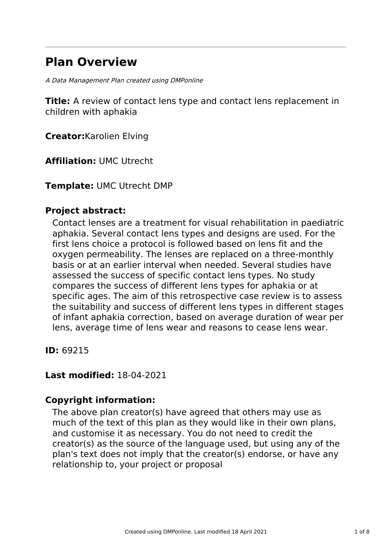# **Plan Overview**

A Data Management Plan created using DMPonline

**Title:** A review of contact lens type and contact lens replacement in children with aphakia

**Creator:**Karolien Elving

**Affiliation:** UMC Utrecht

**Template:** UMC Utrecht DMP

### **Project abstract:**

Contact lenses are a treatment for visual rehabilitation in paediatric aphakia. Several contact lens types and designs are used. For the first lens choice a protocol is followed based on lens fit and the oxygen permeability. The lenses are replaced on a three-monthly basis or at an earlier interval when needed. Several studies have assessed the success of specific contact lens types. No study compares the success of different lens types for aphakia or at specific ages. The aim of this retrospective case review is to assess the suitability and success of different lens types in different stages of infant aphakia correction, based on average duration of wear per lens, average time of lens wear and reasons to cease lens wear.

**ID:** 69215

### **Last modified:** 18-04-2021

### **Copyright information:**

The above plan creator(s) have agreed that others may use as much of the text of this plan as they would like in their own plans, and customise it as necessary. You do not need to credit the creator(s) as the source of the language used, but using any of the plan's text does not imply that the creator(s) endorse, or have any relationship to, your project or proposal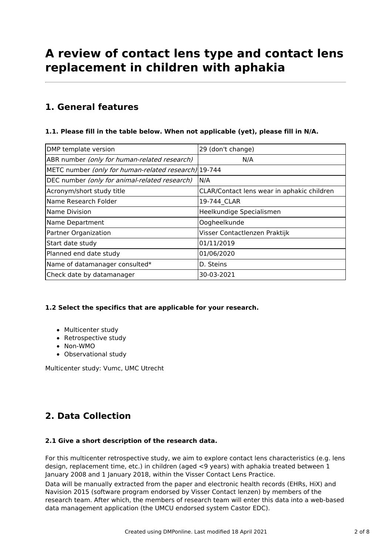# **A review of contact lens type and contact lens replacement in children with aphakia**

## **1. General features**

#### **1.1. Please fill in the table below. When not applicable (yet), please fill in N/A.**

| DMP template version                                 | 29 (don't change)                          |
|------------------------------------------------------|--------------------------------------------|
| ABR number (only for human-related research)         | N/A                                        |
| METC number (only for human-related research) 19-744 |                                            |
| DEC number (only for animal-related research)        | N/A                                        |
| Acronym/short study title                            | CLAR/Contact lens wear in aphakic children |
| lName Research Folder                                | 19-744 CLAR                                |
| lName Division                                       | Heelkundige Specialismen                   |
| Name Department                                      | Oogheelkunde                               |
| Partner Organization                                 | Visser Contactlenzen Praktijk              |
| Start date study                                     | 01/11/2019                                 |
| Planned end date study                               | 01/06/2020                                 |
| Name of datamanager consulted*                       | D. Steins                                  |
| Check date by datamanager                            | 30-03-2021                                 |

#### **1.2 Select the specifics that are applicable for your research.**

- Multicenter study
- Retrospective study
- Non-WMO
- Observational study

Multicenter study: Vumc, UMC Utrecht

# **2. Data Collection**

#### **2.1 Give a short description of the research data.**

For this multicenter retrospective study, we aim to explore contact lens characteristics (e.g. lens design, replacement time, etc.) in children (aged <9 years) with aphakia treated between 1 January 2008 and 1 January 2018, within the Visser Contact Lens Practice.

Data will be manually extracted from the paper and electronic health records (EHRs, HiX) and Navision 2015 (software program endorsed by Visser Contact lenzen) by members of the research team. After which, the members of research team will enter this data into a web-based data management application (the UMCU endorsed system Castor EDC).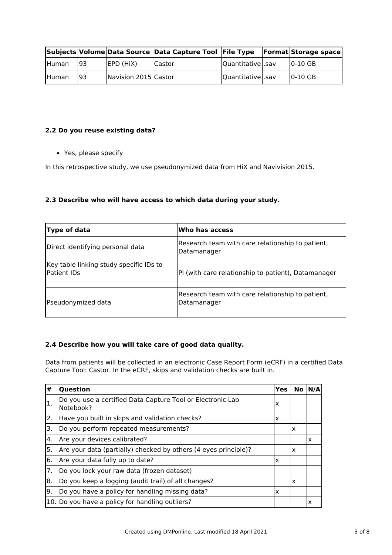|              |    |                      | Subjects Volume Data Source Data Capture Tool File Type |                  | <b>Format Storage space</b> |
|--------------|----|----------------------|---------------------------------------------------------|------------------|-----------------------------|
| <b>Human</b> | 93 | EPD (HiX)            | <b>ICastor</b>                                          | Quantitative sav | $10-10$ GB                  |
| <b>Human</b> | 93 | Navision 2015 Castor |                                                         | Quantitative sav | $ 0-10$ GB                  |

#### **2.2 Do you reuse existing data?**

Yes, please specify

In this retrospective study, we use pseudonymized data from HiX and Navivision 2015.

#### **2.3 Describe who will have access to which data during your study.**

| Type of data                                                  | Who has access                                                  |
|---------------------------------------------------------------|-----------------------------------------------------------------|
| Direct identifying personal data                              | Research team with care relationship to patient,<br>Datamanager |
| Key table linking study specific IDs to<br><b>Patient IDs</b> | PI (with care relationship to patient), Datamanager             |
| Pseudonymized data                                            | Research team with care relationship to patient,<br>Datamanager |

#### **2.4 Describe how you will take care of good data quality.**

Data from patients will be collected in an electronic Case Report Form (eCRF) in a certified Data Capture Tool: Castor. In the eCRF, skips and validation checks are built in.

| #   | Question                                                                | Yes | No | <b>N/A</b> |
|-----|-------------------------------------------------------------------------|-----|----|------------|
| Ι.  | Do you use a certified Data Capture Tool or Electronic Lab<br>Notebook? | x   |    |            |
| 2.  | Have you built in skips and validation checks?                          | x   |    |            |
| ΙЗ. | Do you perform repeated measurements?                                   |     | ΙX |            |
| 4.  | Are your devices calibrated?                                            |     |    | x          |
| 5.  | Are your data (partially) checked by others (4 eyes principle)?         |     | X  |            |
| 6.  | Are your data fully up to date?                                         | x   |    |            |
| 7.  | Do you lock your raw data (frozen dataset)                              |     |    |            |
| 8.  | Do you keep a logging (audit trail) of all changes?                     |     | X  |            |
| l9. | Do you have a policy for handling missing data?                         | X   |    |            |
|     | 10. Do you have a policy for handling outliers?                         |     |    | X          |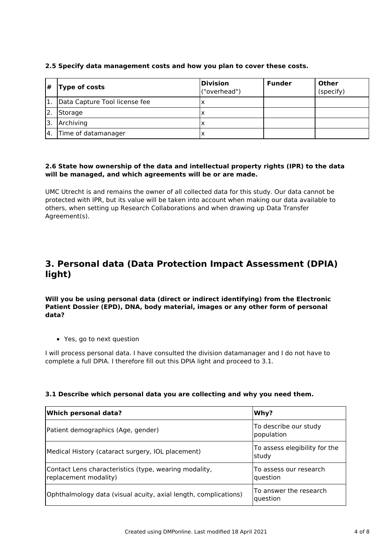#### **2.5 Specify data management costs and how you plan to cover these costs.**

| #                | <b>Type of costs</b>          | Division<br>("overhead") | <b>Funder</b> | <b>Other</b><br>(specify) |
|------------------|-------------------------------|--------------------------|---------------|---------------------------|
| 1.               | Data Capture Tool license fee | ΙX                       |               |                           |
| 2.               | Storage                       | ΙX                       |               |                           |
| 'З.              | Archiving                     | ΙX                       |               |                           |
| $\overline{4}$ . | Time of datamanager           | х                        |               |                           |

#### **2.6 State how ownership of the data and intellectual property rights (IPR) to the data will be managed, and which agreements will be or are made.**

UMC Utrecht is and remains the owner of all collected data for this study. Our data cannot be protected with IPR, but its value will be taken into account when making our data available to others, when setting up Research Collaborations and when drawing up Data Transfer Agreement(s).

### **3. Personal data (Data Protection Impact Assessment (DPIA) light)**

**Will you be using personal data (direct or indirect identifying) from the Electronic Patient Dossier (EPD), DNA, body material, images or any other form of personal data?**

Yes, go to next question

I will process personal data. I have consulted the division datamanager and I do not have to complete a full DPIA. I therefore fill out this DPIA light and proceed to 3.1.

#### **3.1 Describe which personal data you are collecting and why you need them.**

| Which personal data?                                                           | Why?                                      |  |
|--------------------------------------------------------------------------------|-------------------------------------------|--|
| Patient demographics (Age, gender)                                             | To describe our study<br>population       |  |
| Medical History (cataract surgery, IOL placement)                              | To assess elegibility for the<br>study    |  |
| Contact Lens characteristics (type, wearing modality,<br>replacement modality) | To assess our research<br><b>Question</b> |  |
| Ophthalmology data (visual acuity, axial length, complications)                | To answer the research<br>question        |  |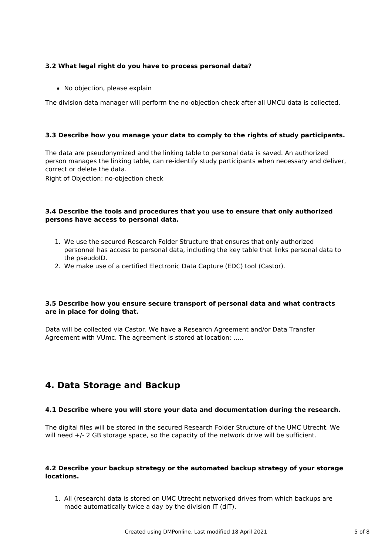#### **3.2 What legal right do you have to process personal data?**

• No objection, please explain

The division data manager will perform the no-objection check after all UMCU data is collected.

#### **3.3 Describe how you manage your data to comply to the rights of study participants.**

The data are pseudonymized and the linking table to personal data is saved. An authorized person manages the linking table, can re-identify study participants when necessary and deliver, correct or delete the data.

Right of Objection: no-objection check

#### **3.4 Describe the tools and procedures that you use to ensure that only authorized persons have access to personal data.**

- 1. We use the secured Research Folder Structure that ensures that only authorized personnel has access to personal data, including the key table that links personal data to the pseudoID.
- 2. We make use of a certified Electronic Data Capture (EDC) tool (Castor).

#### **3.5 Describe how you ensure secure transport of personal data and what contracts are in place for doing that.**

Data will be collected via Castor. We have a Research Agreement and/or Data Transfer Agreement with VUmc. The agreement is stored at location: …..

### **4. Data Storage and Backup**

#### **4.1 Describe where you will store your data and documentation during the research.**

The digital files will be stored in the secured Research Folder Structure of the UMC Utrecht. We will need  $+/-$  2 GB storage space, so the capacity of the network drive will be sufficient.

#### **4.2 Describe your backup strategy or the automated backup strategy of your storage locations.**

1. All (research) data is stored on UMC Utrecht networked drives from which backups are made automatically twice a day by the division IT (dIT).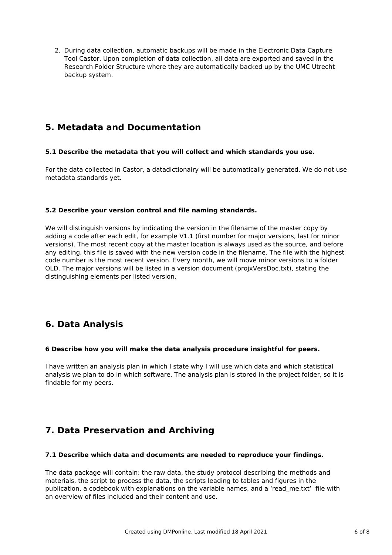2. During data collection, automatic backups will be made in the Electronic Data Capture Tool Castor. Upon completion of data collection, all data are exported and saved in the Research Folder Structure where they are automatically backed up by the UMC Utrecht backup system.

### **5. Metadata and Documentation**

#### **5.1 Describe the metadata that you will collect and which standards you use.**

For the data collected in Castor, a datadictionairy will be automatically generated. We do not use metadata standards yet.

#### **5.2 Describe your version control and file naming standards.**

We will distinguish versions by indicating the version in the filename of the master copy by adding a code after each edit, for example V1.1 (first number for major versions, last for minor versions). The most recent copy at the master location is always used as the source, and before any editing, this file is saved with the new version code in the filename. The file with the highest code number is the most recent version. Every month, we will move minor versions to a folder OLD. The major versions will be listed in a version document (projxVersDoc.txt), stating the distinguishing elements per listed version.

# **6. Data Analysis**

#### **6 Describe how you will make the data analysis procedure insightful for peers.**

I have written an analysis plan in which I state why I will use which data and which statistical analysis we plan to do in which software. The analysis plan is stored in the project folder, so it is findable for my peers.

# **7. Data Preservation and Archiving**

#### **7.1 Describe which data and documents are needed to reproduce your findings.**

The data package will contain: the raw data, the study protocol describing the methods and materials, the script to process the data, the scripts leading to tables and figures in the publication, a codebook with explanations on the variable names, and a 'read\_me.txt' file with an overview of files included and their content and use.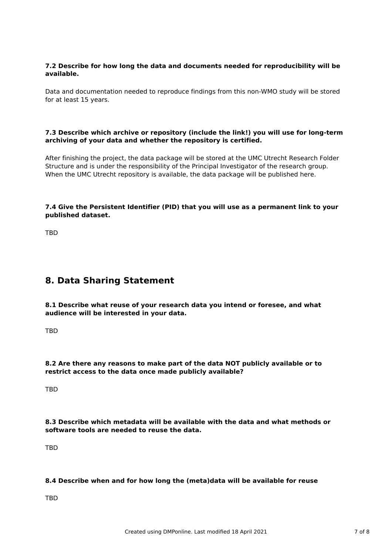#### **7.2 Describe for how long the data and documents needed for reproducibility will be available.**

Data and documentation needed to reproduce findings from this non-WMO study will be stored for at least 15 years.

#### **7.3 Describe which archive or repository (include the link!) you will use for long-term archiving of your data and whether the repository is certified.**

After finishing the project, the data package will be stored at the UMC Utrecht Research Folder Structure and is under the responsibility of the Principal Investigator of the research group. When the UMC Utrecht repository is available, the data package will be published here.

#### **7.4 Give the Persistent Identifier (PID) that you will use as a permanent link to your published dataset.**

TBD

### **8. Data Sharing Statement**

**8.1 Describe what reuse of your research data you intend or foresee, and what audience will be interested in your data.**

**TRD** 

**8.2 Are there any reasons to make part of the data NOT publicly available or to restrict access to the data once made publicly available?**

**TRD** 

**8.3 Describe which metadata will be available with the data and what methods or software tools are needed to reuse the data.**

TBD

#### **8.4 Describe when and for how long the (meta)data will be available for reuse**

TBD